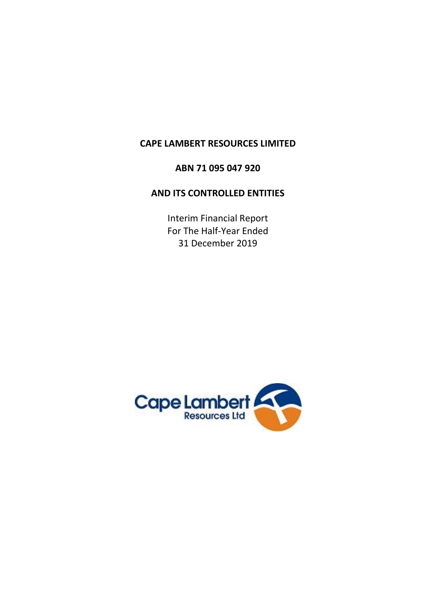# **CAPE LAMBERT RESOURCES LIMITED**

# **ABN 71 095 047 920**

# **AND ITS CONTROLLED ENTITIES**

Interim Financial Report For The Half-Year Ended 31 December 2019

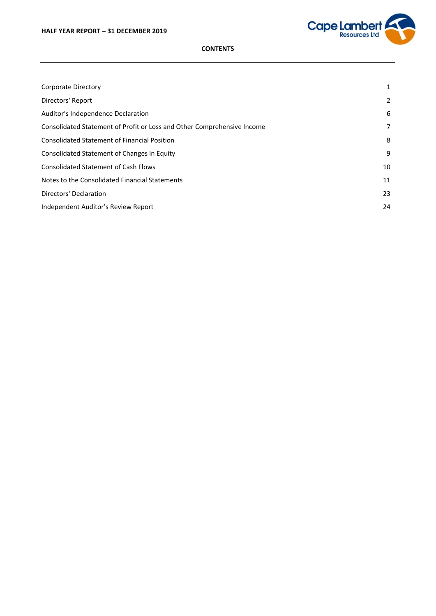

# **CONTENTS**

| Corporate Directory                                                     | 1  |
|-------------------------------------------------------------------------|----|
| Directors' Report                                                       | 2  |
| Auditor's Independence Declaration                                      | 6  |
| Consolidated Statement of Profit or Loss and Other Comprehensive Income | 7  |
| <b>Consolidated Statement of Financial Position</b>                     | 8  |
| Consolidated Statement of Changes in Equity                             | 9  |
| <b>Consolidated Statement of Cash Flows</b>                             | 10 |
| Notes to the Consolidated Financial Statements                          | 11 |
| Directors' Declaration                                                  | 23 |
| Independent Auditor's Review Report                                     | 24 |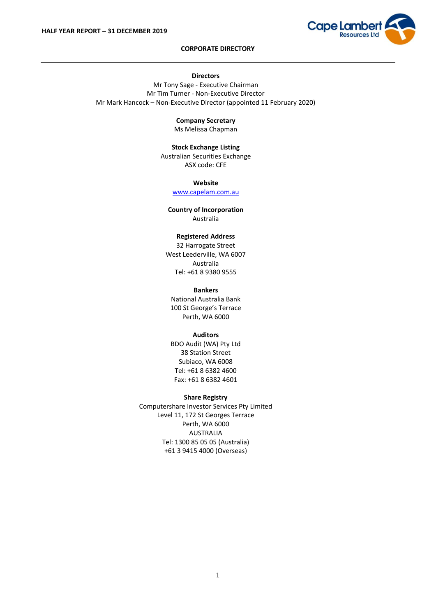

# **CORPORATE DIRECTORY**

#### **Directors**

Mr Tony Sage - Executive Chairman Mr Tim Turner - Non-Executive Director Mr Mark Hancock – Non-Executive Director (appointed 11 February 2020)

**Company Secretary**

Ms Melissa Chapman

**Stock Exchange Listing** Australian Securities Exchange ASX code: CFE

> **Website** [www.capelam.com.au](http://www.capelam.com.au/)

**Country of Incorporation** Australia

# **Registered Address**

32 Harrogate Street West Leederville, WA 6007 Australia Tel: +61 8 9380 9555

# **Bankers**

National Australia Bank 100 St George's Terrace Perth, WA 6000

#### **Auditors**

BDO Audit (WA) Pty Ltd 38 Station Street Subiaco, WA 6008 Tel: +61 8 6382 4600 Fax: +61 8 6382 4601

# **Share Registry**

Computershare Investor Services Pty Limited Level 11, 172 St Georges Terrace Perth, WA 6000 AUSTRALIA Tel: 1300 85 05 05 (Australia) +61 3 9415 4000 (Overseas)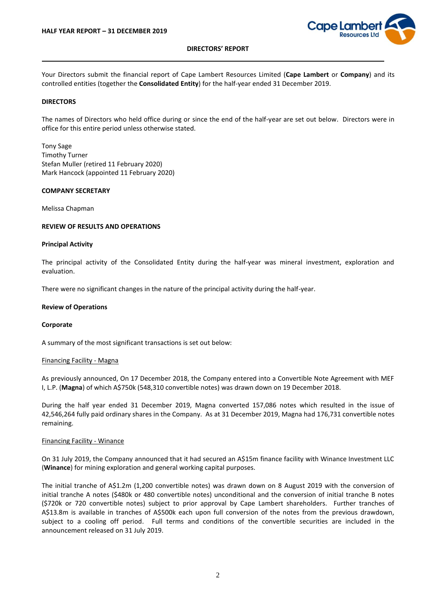

Your Directors submit the financial report of Cape Lambert Resources Limited (**Cape Lambert** or **Company**) and its controlled entities (together the **Consolidated Entity**) for the half-year ended 31 December 2019.

# **DIRECTORS**

The names of Directors who held office during or since the end of the half-year are set out below. Directors were in office for this entire period unless otherwise stated.

Tony Sage Timothy Turner Stefan Muller (retired 11 February 2020) Mark Hancock (appointed 11 February 2020)

#### **COMPANY SECRETARY**

Melissa Chapman

#### **REVIEW OF RESULTS AND OPERATIONS**

#### **Principal Activity**

The principal activity of the Consolidated Entity during the half-year was mineral investment, exploration and evaluation.

There were no significant changes in the nature of the principal activity during the half-year.

#### **Review of Operations**

#### **Corporate**

A summary of the most significant transactions is set out below:

#### Financing Facility - Magna

As previously announced, On 17 December 2018, the Company entered into a Convertible Note Agreement with MEF I, L.P. (**Magna**) of which A\$750k (548,310 convertible notes) was drawn down on 19 December 2018.

During the half year ended 31 December 2019, Magna converted 157,086 notes which resulted in the issue of 42,546,264 fully paid ordinary shares in the Company. As at 31 December 2019, Magna had 176,731 convertible notes remaining.

#### Financing Facility - Winance

On 31 July 2019, the Company announced that it had secured an A\$15m finance facility with Winance Investment LLC (**Winance**) for mining exploration and general working capital purposes.

The initial tranche of A\$1.2m (1,200 convertible notes) was drawn down on 8 August 2019 with the conversion of initial tranche A notes (\$480k or 480 convertible notes) unconditional and the conversion of initial tranche B notes (\$720k or 720 convertible notes) subject to prior approval by Cape Lambert shareholders. Further tranches of A\$13.8m is available in tranches of A\$500k each upon full conversion of the notes from the previous drawdown, subject to a cooling off period. Full terms and conditions of the convertible securities are included in the announcement released on 31 July 2019.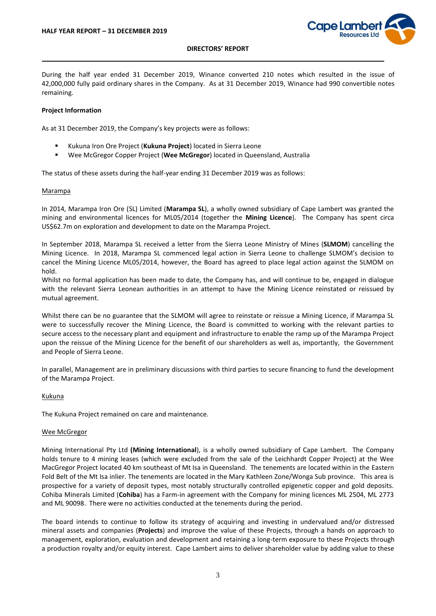

During the half year ended 31 December 2019, Winance converted 210 notes which resulted in the issue of 42,000,000 fully paid ordinary shares in the Company. As at 31 December 2019, Winance had 990 convertible notes remaining.

### **Project Information**

As at 31 December 2019, the Company's key projects were as follows:

- Kukuna Iron Ore Project (Kukuna Project) located in Sierra Leone
- Wee McGregor Copper Project (Wee McGregor) located in Queensland, Australia

The status of these assets during the half-year ending 31 December 2019 was as follows:

# Marampa

In 2014, Marampa Iron Ore (SL) Limited (**Marampa SL**), a wholly owned subsidiary of Cape Lambert was granted the mining and environmental licences for ML05/2014 (together the **Mining Licence**). The Company has spent circa US\$62.7m on exploration and development to date on the Marampa Project.

In September 2018, Marampa SL received a letter from the Sierra Leone Ministry of Mines (**SLMOM**) cancelling the Mining Licence. In 2018, Marampa SL commenced legal action in Sierra Leone to challenge SLMOM's decision to cancel the Mining Licence ML05/2014, however, the Board has agreed to place legal action against the SLMOM on hold.

Whilst no formal application has been made to date, the Company has, and will continue to be, engaged in dialogue with the relevant Sierra Leonean authorities in an attempt to have the Mining Licence reinstated or reissued by mutual agreement.

Whilst there can be no guarantee that the SLMOM will agree to reinstate or reissue a Mining Licence, if Marampa SL were to successfully recover the Mining Licence, the Board is committed to working with the relevant parties to secure access to the necessary plant and equipment and infrastructure to enable the ramp up of the Marampa Project upon the reissue of the Mining Licence for the benefit of our shareholders as well as, importantly, the Government and People of Sierra Leone.

In parallel, Management are in preliminary discussions with third parties to secure financing to fund the development of the Marampa Project.

#### Kukuna

The Kukuna Project remained on care and maintenance.

#### Wee McGregor

Mining International Pty Ltd **(Mining International**), is a wholly owned subsidiary of Cape Lambert. The Company holds tenure to 4 mining leases (which were excluded from the sale of the Leichhardt Copper Project) at the Wee MacGregor Project located 40 km southeast of Mt Isa in Queensland. The tenements are located within in the Eastern Fold Belt of the Mt Isa inlier. The tenements are located in the Mary Kathleen Zone/Wonga Sub province. This area is prospective for a variety of deposit types, most notably structurally controlled epigenetic copper and gold deposits. Cohiba Minerals Limited (**Cohiba**) has a Farm-in agreement with the Company for mining licences ML 2504, ML 2773 and ML 90098. There were no activities conducted at the tenements during the period.

The board intends to continue to follow its strategy of acquiring and investing in undervalued and/or distressed mineral assets and companies (**Projects**) and improve the value of these Projects, through a hands on approach to management, exploration, evaluation and development and retaining a long-term exposure to these Projects through a production royalty and/or equity interest. Cape Lambert aims to deliver shareholder value by adding value to these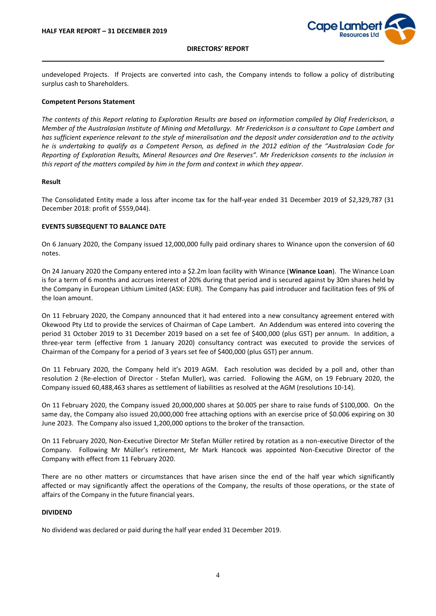

undeveloped Projects. If Projects are converted into cash, the Company intends to follow a policy of distributing surplus cash to Shareholders.

#### **Competent Persons Statement**

*The contents of this Report relating to Exploration Results are based on information compiled by Olaf Frederickson, a Member of the Australasian Institute of Mining and Metallurgy. Mr Frederickson is a consultant to Cape Lambert and has sufficient experience relevant to the style of mineralisation and the deposit under consideration and to the activity he is undertaking to qualify as a Competent Person, as defined in the 2012 edition of the "Australasian Code for Reporting of Exploration Results, Mineral Resources and Ore Reserves". Mr Frederickson consents to the inclusion in this report of the matters compiled by him in the form and context in which they appear.*

#### **Result**

The Consolidated Entity made a loss after income tax for the half-year ended 31 December 2019 of \$2,329,787 (31 December 2018: profit of \$559,044).

#### **EVENTS SUBSEQUENT TO BALANCE DATE**

On 6 January 2020, the Company issued 12,000,000 fully paid ordinary shares to Winance upon the conversion of 60 notes.

On 24 January 2020 the Company entered into a \$2.2m loan facility with Winance (**Winance Loan**). The Winance Loan is for a term of 6 months and accrues interest of 20% during that period and is secured against by 30m shares held by the Company in European Lithium Limited (ASX: EUR). The Company has paid introducer and facilitation fees of 9% of the loan amount.

On 11 February 2020, the Company announced that it had entered into a new consultancy agreement entered with Okewood Pty Ltd to provide the services of Chairman of Cape Lambert. An Addendum was entered into covering the period 31 October 2019 to 31 December 2019 based on a set fee of \$400,000 (plus GST) per annum. In addition, a three-year term (effective from 1 January 2020) consultancy contract was executed to provide the services of Chairman of the Company for a period of 3 years set fee of \$400,000 (plus GST) per annum.

On 11 February 2020, the Company held it's 2019 AGM. Each resolution was decided by a poll and, other than resolution 2 (Re-election of Director - Stefan Muller), was carried. Following the AGM, on 19 February 2020, the Company issued 60,488,463 shares as settlement of liabilities as resolved at the AGM (resolutions 10-14).

On 11 February 2020, the Company issued 20,000,000 shares at \$0.005 per share to raise funds of \$100,000. On the same day, the Company also issued 20,000,000 free attaching options with an exercise price of \$0.006 expiring on 30 June 2023. The Company also issued 1,200,000 options to the broker of the transaction.

On 11 February 2020, Non-Executive Director Mr Stefan Müller retired by rotation as a non-executive Director of the Company. Following Mr Müller's retirement, Mr Mark Hancock was appointed Non-Executive Director of the Company with effect from 11 February 2020.

There are no other matters or circumstances that have arisen since the end of the half year which significantly affected or may significantly affect the operations of the Company, the results of those operations, or the state of affairs of the Company in the future financial years.

# **DIVIDEND**

No dividend was declared or paid during the half year ended 31 December 2019.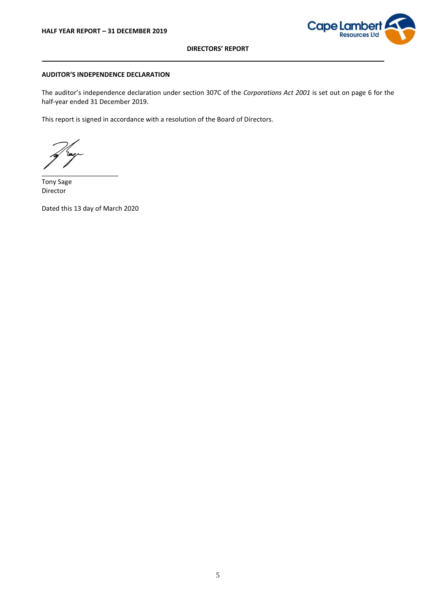

# **AUDITOR'S INDEPENDENCE DECLARATION**

The auditor's independence declaration under section 307C of the *Corporations Act 2001* is set out on page 6 for the half-year ended 31 December 2019.

This report is signed in accordance with a resolution of the Board of Directors.

\_\_\_\_\_\_\_\_\_\_\_\_\_\_\_\_\_\_\_\_\_

Tony Sage Director

Dated this 13 day of March 2020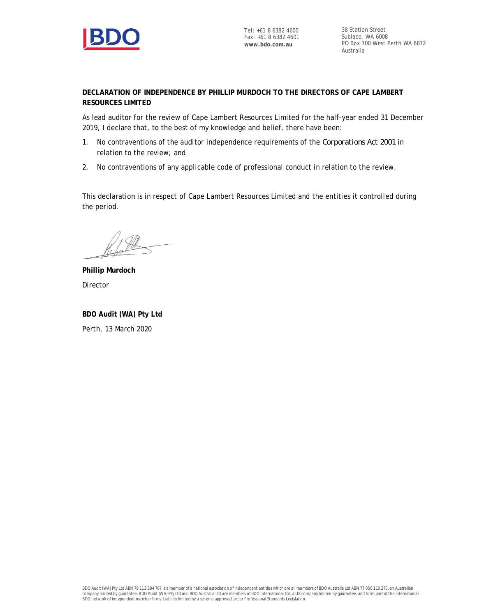

38 Station Street Subiaco, WA 6008 PO Box 700 West Perth WA 6872 Australia

**DECLARATION OF INDEPENDENCE BY PHILLIP MURDOCH TO THE DIRECTORS OF CAPE LAMBERT RESOURCES LIMITED**

As lead auditor for the review of Cape Lambert Resources Limited for the half-year ended 31 December 2019, I declare that, to the best of my knowledge and belief, there have been:

- 1. No contraventions of the auditor independence requirements of the *Corporations Act 2001* in relation to the review; and
- 2. No contraventions of any applicable code of professional conduct in relation to the review.

This declaration is in respect of Cape Lambert Resources Limited and the entities it controlled during the period.

**Phillip Murdoch** Director

**BDO Audit (WA) Pty Ltd** Perth, 13 March 2020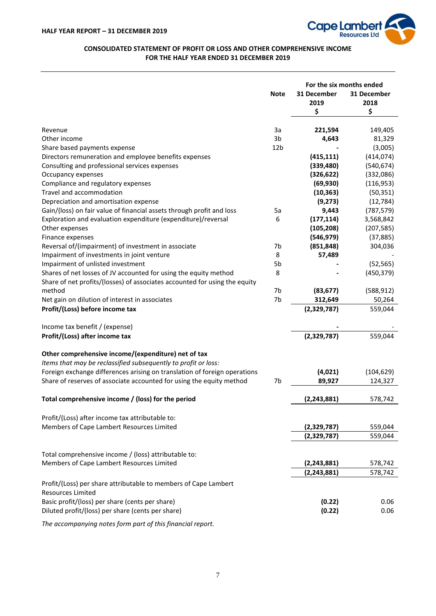

# **CONSOLIDATED STATEMENT OF PROFIT OR LOSS AND OTHER COMPREHENSIVE INCOME FOR THE HALF YEAR ENDED 31 DECEMBER 2019**

|                                                                                             |                 | For the six months ended |             |
|---------------------------------------------------------------------------------------------|-----------------|--------------------------|-------------|
|                                                                                             | <b>Note</b>     | 31 December              | 31 December |
|                                                                                             |                 |                          |             |
|                                                                                             |                 | 2019                     | 2018        |
|                                                                                             |                 | \$                       | \$          |
| Revenue                                                                                     | 3a              | 221,594                  | 149,405     |
| Other income                                                                                | 3b              | 4,643                    | 81,329      |
| Share based payments expense                                                                | 12 <sub>b</sub> |                          | (3,005)     |
| Directors remuneration and employee benefits expenses                                       |                 | (415, 111)               | (414, 074)  |
| Consulting and professional services expenses                                               |                 | (339, 480)               | (540, 674)  |
| Occupancy expenses                                                                          |                 | (326, 622)               | (332,086)   |
| Compliance and regulatory expenses                                                          |                 | (69, 930)                | (116, 953)  |
| Travel and accommodation                                                                    |                 | (10, 363)                | (50, 351)   |
| Depreciation and amortisation expense                                                       |                 | (9,273)                  | (12, 784)   |
| Gain/(loss) on fair value of financial assets through profit and loss                       | 5a              | 9,443                    | (787, 579)  |
| Exploration and evaluation expenditure (expenditure)/reversal                               | 6               | (177, 114)               | 3,568,842   |
| Other expenses                                                                              |                 | (105, 208)               | (207, 585)  |
| Finance expenses                                                                            |                 | (546, 979)               | (37, 885)   |
| Reversal of/(impairment) of investment in associate                                         | 7b              | (851, 848)               | 304,036     |
| Impairment of investments in joint venture                                                  | 8               | 57,489                   |             |
| Impairment of unlisted investment                                                           | 5b              |                          | (52, 565)   |
| Shares of net losses of JV accounted for using the equity method                            | 8               |                          | (450, 379)  |
| Share of net profits/(losses) of associates accounted for using the equity                  |                 |                          |             |
| method                                                                                      | 7b              | (83, 677)                | (588, 912)  |
| Net gain on dilution of interest in associates                                              | 7b              | 312,649                  | 50,264      |
| Profit/(Loss) before income tax                                                             |                 | (2,329,787)              | 559,044     |
|                                                                                             |                 |                          |             |
| Income tax benefit / (expense)                                                              |                 |                          |             |
| Profit/(Loss) after income tax                                                              |                 | (2,329,787)              | 559,044     |
|                                                                                             |                 |                          |             |
| Other comprehensive income/(expenditure) net of tax                                         |                 |                          |             |
| Items that may be reclassified subsequently to profit or loss:                              |                 |                          |             |
| Foreign exchange differences arising on translation of foreign operations                   |                 | (4,021)                  | (104, 629)  |
| Share of reserves of associate accounted for using the equity method                        | 7b              | 89,927                   | 124,327     |
| Total comprehensive income / (loss) for the period                                          |                 | (2, 243, 881)            | 578,742     |
|                                                                                             |                 |                          |             |
| Profit/(Loss) after income tax attributable to:                                             |                 |                          |             |
| Members of Cape Lambert Resources Limited                                                   |                 | (2,329,787)              | 559,044     |
|                                                                                             |                 | (2,329,787)              | 559,044     |
| Total comprehensive income / (loss) attributable to:                                        |                 |                          |             |
| Members of Cape Lambert Resources Limited                                                   |                 | (2, 243, 881)            | 578,742     |
|                                                                                             |                 | (2, 243, 881)            | 578,742     |
| Profit/(Loss) per share attributable to members of Cape Lambert<br><b>Resources Limited</b> |                 |                          |             |
| Basic profit/(loss) per share (cents per share)                                             |                 | (0.22)                   | 0.06        |
| Diluted profit/(loss) per share (cents per share)                                           |                 | (0.22)                   | 0.06        |
|                                                                                             |                 |                          |             |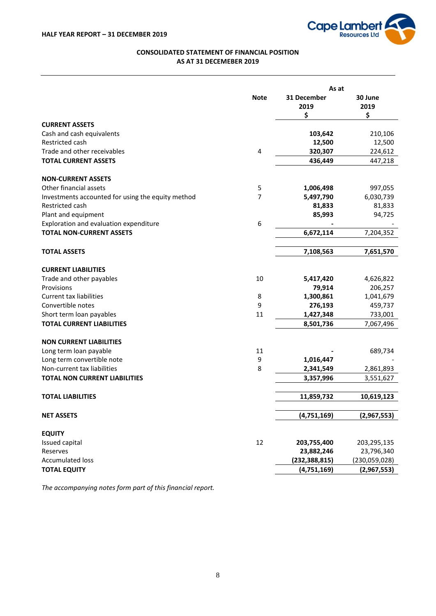

# **CONSOLIDATED STATEMENT OF FINANCIAL POSITION AS AT 31 DECEMEBER 2019**

|                                                   |             | As at           |               |
|---------------------------------------------------|-------------|-----------------|---------------|
|                                                   | <b>Note</b> | 31 December     | 30 June       |
|                                                   |             | 2019            | 2019          |
|                                                   |             | \$              | \$            |
| <b>CURRENT ASSETS</b>                             |             |                 |               |
| Cash and cash equivalents                         |             | 103,642         | 210,106       |
| Restricted cash                                   |             | 12,500          | 12,500        |
| Trade and other receivables                       | 4           | 320,307         | 224,612       |
| <b>TOTAL CURRENT ASSETS</b>                       |             | 436,449         | 447,218       |
| <b>NON-CURRENT ASSETS</b>                         |             |                 |               |
| Other financial assets                            | 5           | 1,006,498       | 997,055       |
| Investments accounted for using the equity method | 7           | 5,497,790       | 6,030,739     |
| Restricted cash                                   |             | 81,833          | 81,833        |
| Plant and equipment                               |             | 85,993          | 94,725        |
| Exploration and evaluation expenditure            | 6           |                 |               |
| <b>TOTAL NON-CURRENT ASSETS</b>                   |             | 6,672,114       | 7,204,352     |
| <b>TOTAL ASSETS</b>                               |             | 7,108,563       | 7,651,570     |
| <b>CURRENT LIABILITIES</b>                        |             |                 |               |
| Trade and other payables                          | 10          | 5,417,420       | 4,626,822     |
| Provisions                                        |             | 79,914          | 206,257       |
| <b>Current tax liabilities</b>                    | 8           | 1,300,861       | 1,041,679     |
| Convertible notes                                 | 9           | 276,193         | 459,737       |
| Short term loan payables                          | 11          | 1,427,348       | 733,001       |
| <b>TOTAL CURRENT LIABILITIES</b>                  |             | 8,501,736       | 7,067,496     |
| <b>NON CURRENT LIABILITIES</b>                    |             |                 |               |
| Long term loan payable                            | 11          |                 | 689,734       |
| Long term convertible note                        | 9           | 1,016,447       |               |
| Non-current tax liabilities                       | 8           | 2,341,549       | 2,861,893     |
| <b>TOTAL NON CURRENT LIABILITIES</b>              |             | 3,357,996       | 3,551,627     |
| <b>TOTAL LIABILITIES</b>                          |             | 11,859,732      | 10,619,123    |
|                                                   |             |                 |               |
| <b>NET ASSETS</b>                                 |             | (4,751,169)     | (2,967,553)   |
| <b>EQUITY</b>                                     |             |                 |               |
| Issued capital                                    | 12          | 203,755,400     | 203,295,135   |
| Reserves                                          |             | 23,882,246      | 23,796,340    |
| <b>Accumulated loss</b>                           |             | (232, 388, 815) | (230,059,028) |
| <b>TOTAL EQUITY</b>                               |             | (4,751,169)     | (2,967,553)   |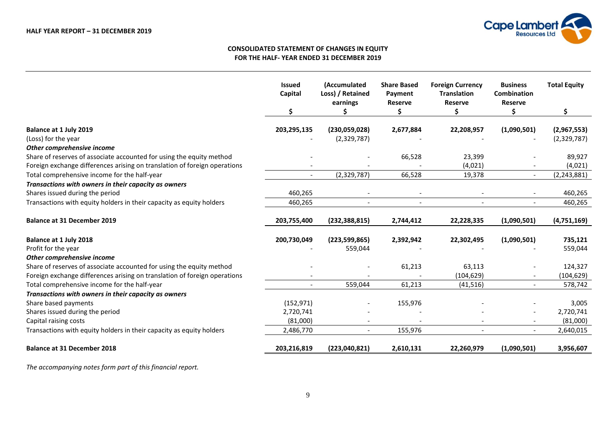

# **CONSOLIDATED STATEMENT OF CHANGES IN EQUITY FOR THE HALF- YEAR ENDED 31 DECEMBER 2019**

|                                                                           | <b>Issued</b><br>Capital | (Accumulated<br>Loss) / Retained<br>earnings | <b>Share Based</b><br>Payment<br><b>Reserve</b> | <b>Foreign Currency</b><br><b>Translation</b><br><b>Reserve</b> | <b>Business</b><br><b>Combination</b><br><b>Reserve</b> | <b>Total Equity</b> |
|---------------------------------------------------------------------------|--------------------------|----------------------------------------------|-------------------------------------------------|-----------------------------------------------------------------|---------------------------------------------------------|---------------------|
|                                                                           | \$                       |                                              | Ś                                               | Ś.                                                              | Ś.                                                      | \$                  |
| Balance at 1 July 2019                                                    | 203,295,135              | (230,059,028)                                | 2,677,884                                       | 22,208,957                                                      | (1,090,501)                                             | (2,967,553)         |
| (Loss) for the year                                                       |                          | (2,329,787)                                  |                                                 |                                                                 |                                                         | (2,329,787)         |
| Other comprehensive income                                                |                          |                                              |                                                 |                                                                 |                                                         |                     |
| Share of reserves of associate accounted for using the equity method      |                          |                                              | 66,528                                          | 23,399                                                          |                                                         | 89,927              |
| Foreign exchange differences arising on translation of foreign operations |                          |                                              |                                                 | (4,021)                                                         |                                                         | (4,021)             |
| Total comprehensive income for the half-year                              |                          | (2,329,787)                                  | 66,528                                          | 19,378                                                          | $\blacksquare$                                          | (2, 243, 881)       |
| Transactions with owners in their capacity as owners                      |                          |                                              |                                                 |                                                                 |                                                         |                     |
| Shares issued during the period                                           | 460,265                  |                                              |                                                 |                                                                 |                                                         | 460,265             |
| Transactions with equity holders in their capacity as equity holders      | 460,265                  | $\overline{a}$                               | $\overline{\phantom{a}}$                        | $\overline{\phantom{a}}$                                        |                                                         | 460,265             |
|                                                                           |                          |                                              |                                                 |                                                                 |                                                         |                     |
| <b>Balance at 31 December 2019</b>                                        | 203,755,400              | (232, 388, 815)                              | 2,744,412                                       | 22,228,335                                                      | (1,090,501)                                             | (4,751,169)         |
| Balance at 1 July 2018                                                    | 200,730,049              | (223, 599, 865)                              | 2,392,942                                       | 22,302,495                                                      | (1,090,501)                                             | 735,121             |
| Profit for the year                                                       |                          | 559,044                                      |                                                 |                                                                 |                                                         | 559,044             |
| Other comprehensive income                                                |                          |                                              |                                                 |                                                                 |                                                         |                     |
| Share of reserves of associate accounted for using the equity method      |                          |                                              | 61,213                                          | 63,113                                                          |                                                         | 124,327             |
| Foreign exchange differences arising on translation of foreign operations |                          |                                              |                                                 | (104, 629)                                                      |                                                         | (104, 629)          |
| Total comprehensive income for the half-year                              |                          | 559,044                                      | 61,213                                          | (41, 516)                                                       |                                                         | 578,742             |
| Transactions with owners in their capacity as owners                      |                          |                                              |                                                 |                                                                 |                                                         |                     |
| Share based payments                                                      | (152, 971)               |                                              | 155,976                                         |                                                                 |                                                         | 3,005               |
| Shares issued during the period                                           | 2,720,741                |                                              |                                                 |                                                                 |                                                         | 2,720,741           |
| Capital raising costs                                                     | (81,000)                 |                                              |                                                 |                                                                 |                                                         | (81,000)            |
| Transactions with equity holders in their capacity as equity holders      | 2,486,770                | $\overline{a}$                               | 155,976                                         |                                                                 |                                                         | 2,640,015           |
| <b>Balance at 31 December 2018</b>                                        | 203,216,819              | (223,040,821)                                | 2,610,131                                       | 22,260,979                                                      | (1,090,501)                                             | 3,956,607           |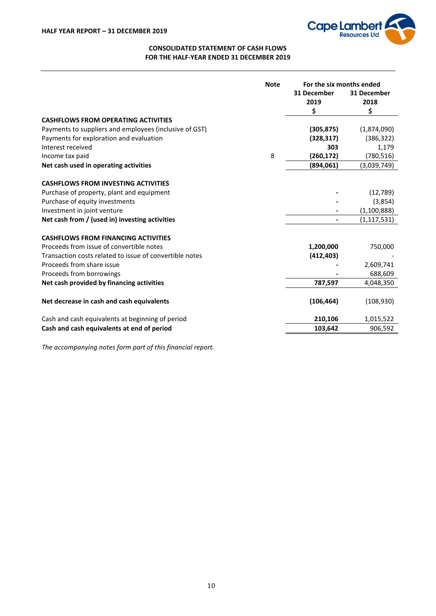

# **CONSOLIDATED STATEMENT OF CASH FLOWS FOR THE HALF-YEAR ENDED 31 DECEMBER 2019**

|                                                         | <b>Note</b> | For the six months ended |               |
|---------------------------------------------------------|-------------|--------------------------|---------------|
|                                                         |             | 31 December              | 31 December   |
|                                                         |             | 2019                     | 2018          |
|                                                         |             | \$                       | \$            |
| <b>CASHFLOWS FROM OPERATING ACTIVITIES</b>              |             |                          |               |
| Payments to suppliers and employees (inclusive of GST)  |             | (305, 875)               | (1,874,090)   |
| Payments for exploration and evaluation                 |             | (328, 317)               | (386, 322)    |
| Interest received                                       |             | 303                      | 1,179         |
| Income tax paid                                         | 8           | (260, 172)               | (780, 516)    |
| Net cash used in operating activities                   |             | (894,061)                | (3,039,749)   |
| <b>CASHFLOWS FROM INVESTING ACTIVITIES</b>              |             |                          |               |
| Purchase of property, plant and equipment               |             |                          | (12,789)      |
| Purchase of equity investments                          |             |                          | (3,854)       |
| Investment in joint venture                             |             |                          | (1, 100, 888) |
| Net cash from / (used in) investing activities          |             |                          | (1, 117, 531) |
|                                                         |             |                          |               |
| <b>CASHFLOWS FROM FINANCING ACTIVITIES</b>              |             |                          |               |
| Proceeds from issue of convertible notes                |             | 1,200,000                | 750,000       |
| Transaction costs related to issue of convertible notes |             | (412, 403)               |               |
| Proceeds from share issue                               |             |                          | 2,609,741     |
| Proceeds from borrowings                                |             |                          | 688,609       |
| Net cash provided by financing activities               |             | 787,597                  | 4,048,350     |
| Net decrease in cash and cash equivalents               |             | (106, 464)               | (108, 930)    |
| Cash and cash equivalents at beginning of period        |             | 210,106                  | 1,015,522     |
| Cash and cash equivalents at end of period              |             | 103,642                  | 906,592       |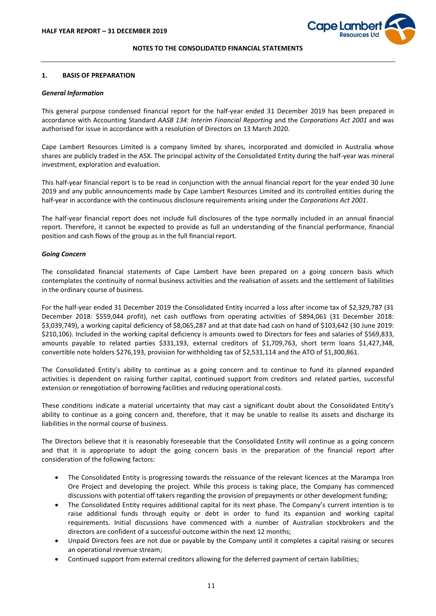

#### **1. BASIS OF PREPARATION**

#### *General Information*

This general purpose condensed financial report for the half-year ended 31 December 2019 has been prepared in accordance with Accounting Standard *AASB 134: Interim Financial Reporting* and the *Corporations Act 2001* and was authorised for issue in accordance with a resolution of Directors on 13 March 2020.

Cape Lambert Resources Limited is a company limited by shares, incorporated and domiciled in Australia whose shares are publicly traded in the ASX. The principal activity of the Consolidated Entity during the half-year was mineral investment, exploration and evaluation.

This half-year financial report is to be read in conjunction with the annual financial report for the year ended 30 June 2019 and any public announcements made by Cape Lambert Resources Limited and its controlled entities during the half-year in accordance with the continuous disclosure requirements arising under the *Corporations Act 2001*.

The half-year financial report does not include full disclosures of the type normally included in an annual financial report. Therefore, it cannot be expected to provide as full an understanding of the financial performance, financial position and cash flows of the group as in the full financial report.

#### *Going Concern*

The consolidated financial statements of Cape Lambert have been prepared on a going concern basis which contemplates the continuity of normal business activities and the realisation of assets and the settlement of liabilities in the ordinary course of business.

For the half-year ended 31 December 2019 the Consolidated Entity incurred a loss after income tax of \$2,329,787 (31 December 2018: \$559,044 profit), net cash outflows from operating activities of \$894,061 (31 December 2018: \$3,039,749), a working capital deficiency of \$8,065,287 and at that date had cash on hand of \$103,642 (30 June 2019: \$210,106). Included in the working capital deficiency is amounts owed to Directors for fees and salaries of \$569,833, amounts payable to related parties \$331,193, external creditors of \$1,709,763, short term loans \$1,427,348, convertible note holders \$276,193, provision for withholding tax of \$2,531,114 and the ATO of \$1,300,861.

The Consolidated Entity's ability to continue as a going concern and to continue to fund its planned expanded activities is dependent on raising further capital, continued support from creditors and related parties, successful extension or renegotiation of borrowing facilities and reducing operational costs.

These conditions indicate a material uncertainty that may cast a significant doubt about the Consolidated Entity's ability to continue as a going concern and, therefore, that it may be unable to realise its assets and discharge its liabilities in the normal course of business.

The Directors believe that it is reasonably foreseeable that the Consolidated Entity will continue as a going concern and that it is appropriate to adopt the going concern basis in the preparation of the financial report after consideration of the following factors:

- The Consolidated Entity is progressing towards the reissuance of the relevant licences at the Marampa Iron Ore Project and developing the project. While this process is taking place, the Company has commenced discussions with potential off takers regarding the provision of prepayments or other development funding;
- The Consolidated Entity requires additional capital for its next phase. The Company's current intention is to raise additional funds through equity or debt in order to fund its expansion and working capital requirements. Initial discussions have commenced with a number of Australian stockbrokers and the directors are confident of a successful outcome within the next 12 months;
- Unpaid Directors fees are not due or payable by the Company until it completes a capital raising or secures an operational revenue stream;
- Continued support from external creditors allowing for the deferred payment of certain liabilities;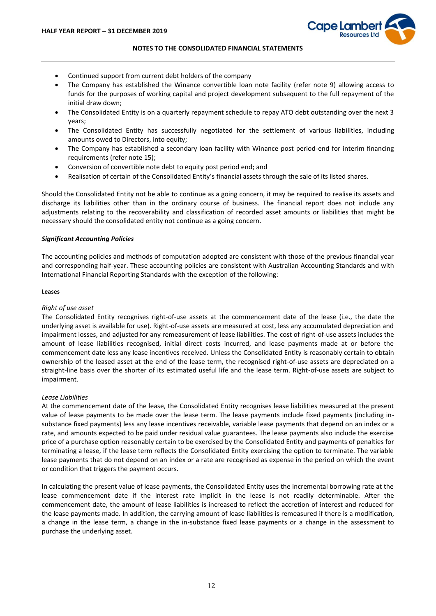

- Continued support from current debt holders of the company
- The Company has established the Winance convertible loan note facility (refer note 9) allowing access to funds for the purposes of working capital and project development subsequent to the full repayment of the initial draw down;
- The Consolidated Entity is on a quarterly repayment schedule to repay ATO debt outstanding over the next 3 years;
- The Consolidated Entity has successfully negotiated for the settlement of various liabilities, including amounts owed to Directors, into equity;
- The Company has established a secondary loan facility with Winance post period-end for interim financing requirements (refer note 15);
- Conversion of convertible note debt to equity post period end; and
- Realisation of certain of the Consolidated Entity's financial assets through the sale of its listed shares.

Should the Consolidated Entity not be able to continue as a going concern, it may be required to realise its assets and discharge its liabilities other than in the ordinary course of business. The financial report does not include any adjustments relating to the recoverability and classification of recorded asset amounts or liabilities that might be necessary should the consolidated entity not continue as a going concern.

#### *Significant Accounting Policies*

The accounting policies and methods of computation adopted are consistent with those of the previous financial year and corresponding half-year. These accounting policies are consistent with Australian Accounting Standards and with International Financial Reporting Standards with the exception of the following:

#### **Leases**

# *Right of use asset*

The Consolidated Entity recognises right-of-use assets at the commencement date of the lease (i.e., the date the underlying asset is available for use). Right-of-use assets are measured at cost, less any accumulated depreciation and impairment losses, and adjusted for any remeasurement of lease liabilities. The cost of right-of-use assets includes the amount of lease liabilities recognised, initial direct costs incurred, and lease payments made at or before the commencement date less any lease incentives received. Unless the Consolidated Entity is reasonably certain to obtain ownership of the leased asset at the end of the lease term, the recognised right-of-use assets are depreciated on a straight-line basis over the shorter of its estimated useful life and the lease term. Right-of-use assets are subject to impairment.

#### *Lease Liabilities*

At the commencement date of the lease, the Consolidated Entity recognises lease liabilities measured at the present value of lease payments to be made over the lease term. The lease payments include fixed payments (including insubstance fixed payments) less any lease incentives receivable, variable lease payments that depend on an index or a rate, and amounts expected to be paid under residual value guarantees. The lease payments also include the exercise price of a purchase option reasonably certain to be exercised by the Consolidated Entity and payments of penalties for terminating a lease, if the lease term reflects the Consolidated Entity exercising the option to terminate. The variable lease payments that do not depend on an index or a rate are recognised as expense in the period on which the event or condition that triggers the payment occurs.

In calculating the present value of lease payments, the Consolidated Entity uses the incremental borrowing rate at the lease commencement date if the interest rate implicit in the lease is not readily determinable. After the commencement date, the amount of lease liabilities is increased to reflect the accretion of interest and reduced for the lease payments made. In addition, the carrying amount of lease liabilities is remeasured if there is a modification, a change in the lease term, a change in the in-substance fixed lease payments or a change in the assessment to purchase the underlying asset.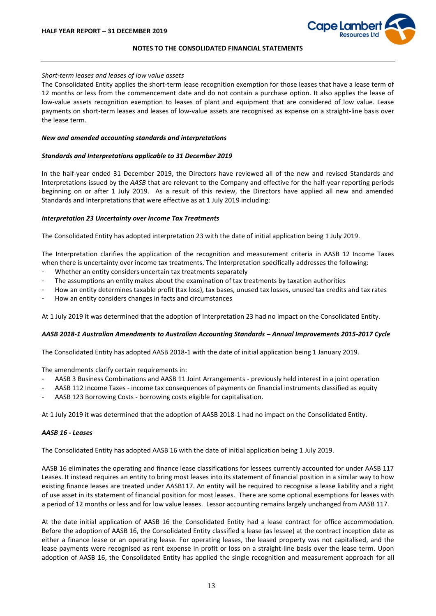

#### *Short-term leases and leases of low value assets*

The Consolidated Entity applies the short-term lease recognition exemption for those leases that have a lease term of 12 months or less from the commencement date and do not contain a purchase option. It also applies the lease of low-value assets recognition exemption to leases of plant and equipment that are considered of low value. Lease payments on short-term leases and leases of low-value assets are recognised as expense on a straight-line basis over the lease term.

#### *New and amended accounting standards and interpretations*

# *Standards and Interpretations applicable to 31 December 2019*

In the half-year ended 31 December 2019, the Directors have reviewed all of the new and revised Standards and Interpretations issued by the *AASB* that are relevant to the Company and effective for the half-year reporting periods beginning on or after 1 July 2019. As a result of this review, the Directors have applied all new and amended Standards and Interpretations that were effective as at 1 July 2019 including:

# *Interpretation 23 Uncertainty over Income Tax Treatments*

The Consolidated Entity has adopted interpretation 23 with the date of initial application being 1 July 2019.

The Interpretation clarifies the application of the recognition and measurement criteria in AASB 12 Income Taxes when there is uncertainty over income tax treatments. The Interpretation specifically addresses the following:

- Whether an entity considers uncertain tax treatments separately
- The assumptions an entity makes about the examination of tax treatments by taxation authorities
- How an entity determines taxable profit (tax loss), tax bases, unused tax losses, unused tax credits and tax rates
- How an entity considers changes in facts and circumstances

At 1 July 2019 it was determined that the adoption of Interpretation 23 had no impact on the Consolidated Entity.

# *AASB 2018-1 Australian Amendments to Australian Accounting Standards – Annual Improvements 2015-2017 Cycle*

The Consolidated Entity has adopted AASB 2018-1 with the date of initial application being 1 January 2019.

The amendments clarify certain requirements in:

- AASB 3 Business Combinations and AASB 11 Joint Arrangements previously held interest in a joint operation
- AASB 112 Income Taxes income tax consequences of payments on financial instruments classified as equity
- AASB 123 Borrowing Costs borrowing costs eligible for capitalisation.

At 1 July 2019 it was determined that the adoption of AASB 2018-1 had no impact on the Consolidated Entity.

#### *AASB 16 - Leases*

The Consolidated Entity has adopted AASB 16 with the date of initial application being 1 July 2019.

AASB 16 eliminates the operating and finance lease classifications for lessees currently accounted for under AASB 117 Leases. It instead requires an entity to bring most leases into its statement of financial position in a similar way to how existing finance leases are treated under AASB117. An entity will be required to recognise a lease liability and a right of use asset in its statement of financial position for most leases. There are some optional exemptions for leases with a period of 12 months or less and for low value leases. Lessor accounting remains largely unchanged from AASB 117.

At the date initial application of AASB 16 the Consolidated Entity had a lease contract for office accommodation. Before the adoption of AASB 16, the Consolidated Entity classified a lease (as lessee) at the contract inception date as either a finance lease or an operating lease. For operating leases, the leased property was not capitalised, and the lease payments were recognised as rent expense in profit or loss on a straight-line basis over the lease term. Upon adoption of AASB 16, the Consolidated Entity has applied the single recognition and measurement approach for all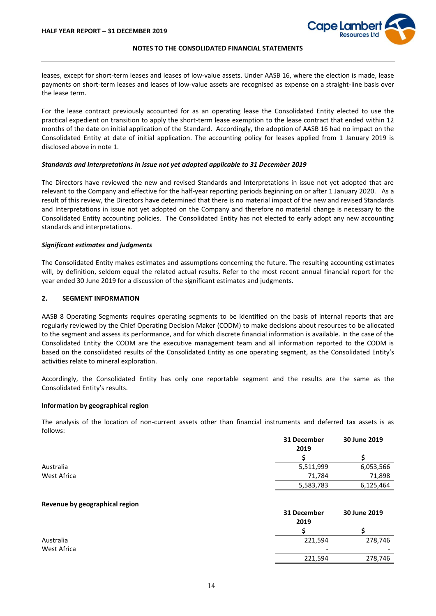

leases, except for short-term leases and leases of low-value assets. Under AASB 16, where the election is made, lease payments on short-term leases and leases of low-value assets are recognised as expense on a straight-line basis over the lease term.

For the lease contract previously accounted for as an operating lease the Consolidated Entity elected to use the practical expedient on transition to apply the short-term lease exemption to the lease contract that ended within 12 months of the date on initial application of the Standard. Accordingly, the adoption of AASB 16 had no impact on the Consolidated Entity at date of initial application. The accounting policy for leases applied from 1 January 2019 is disclosed above in note 1.

#### *Standards and Interpretations in issue not yet adopted applicable to 31 December 2019*

The Directors have reviewed the new and revised Standards and Interpretations in issue not yet adopted that are relevant to the Company and effective for the half-year reporting periods beginning on or after 1 January 2020. As a result of this review, the Directors have determined that there is no material impact of the new and revised Standards and Interpretations in issue not yet adopted on the Company and therefore no material change is necessary to the Consolidated Entity accounting policies. The Consolidated Entity has not elected to early adopt any new accounting standards and interpretations.

#### *Significant estimates and judgments*

The Consolidated Entity makes estimates and assumptions concerning the future. The resulting accounting estimates will, by definition, seldom equal the related actual results. Refer to the most recent annual financial report for the year ended 30 June 2019 for a discussion of the significant estimates and judgments.

#### **2. SEGMENT INFORMATION**

AASB 8 Operating Segments requires operating segments to be identified on the basis of internal reports that are regularly reviewed by the Chief Operating Decision Maker (CODM) to make decisions about resources to be allocated to the segment and assess its performance, and for which discrete financial information is available. In the case of the Consolidated Entity the CODM are the executive management team and all information reported to the CODM is based on the consolidated results of the Consolidated Entity as one operating segment, as the Consolidated Entity's activities relate to mineral exploration.

Accordingly, the Consolidated Entity has only one reportable segment and the results are the same as the Consolidated Entity's results.

#### **Information by geographical region**

The analysis of the location of non-current assets other than financial instruments and deferred tax assets is as follows:

|             | 31 December | 30 June 2019 |
|-------------|-------------|--------------|
|             | 2019        |              |
|             |             |              |
| Australia   | 5,511,999   | 6,053,566    |
| West Africa | 71.784      | 71,898       |
|             | 5,583,783   | 6,125,464    |

#### **Revenue by geographical region**

|             | 31 December<br>2019      | 30 June 2019 |
|-------------|--------------------------|--------------|
|             |                          |              |
| Australia   | 221,594                  | 278,746      |
| West Africa | $\overline{\phantom{a}}$ | -            |
|             | 221,594                  | 278,746      |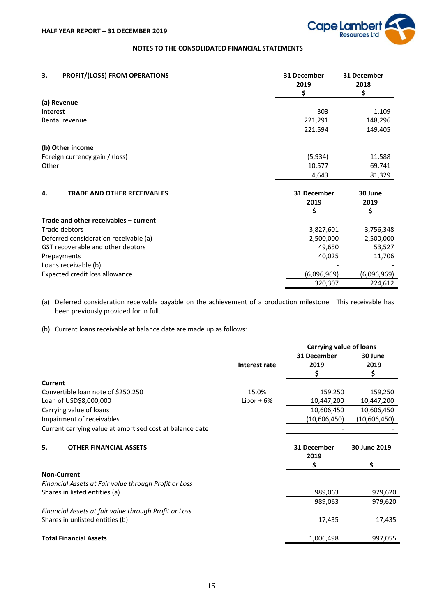

| 3.       | PROFIT/(LOSS) FROM OPERATIONS         | 31 December<br>2019<br>\$ | 31 December<br>2018<br>\$ |
|----------|---------------------------------------|---------------------------|---------------------------|
|          | (a) Revenue                           |                           |                           |
| Interest |                                       | 303                       | 1,109                     |
|          | Rental revenue                        | 221,291                   | 148,296                   |
|          |                                       | 221,594                   | 149,405                   |
|          | (b) Other income                      |                           |                           |
|          | Foreign currency gain / (loss)        | (5,934)                   | 11,588                    |
| Other    |                                       | 10,577                    | 69,741                    |
|          |                                       | 4,643                     | 81,329                    |
| 4.       | <b>TRADE AND OTHER RECEIVABLES</b>    | 31 December               | 30 June                   |
|          |                                       | 2019                      | 2019                      |
|          |                                       | \$                        | \$                        |
|          | Trade and other receivables - current |                           |                           |
|          | Trade debtors                         | 3,827,601                 | 3,756,348                 |
|          | Deferred consideration receivable (a) | 2,500,000                 | 2,500,000                 |
|          | GST recoverable and other debtors     | 49,650                    | 53,527                    |
|          | Prepayments                           | 40,025                    | 11,706                    |
|          | Loans receivable (b)                  |                           |                           |
|          | Expected credit loss allowance        | (6,096,969)               | (6,096,969)               |
|          |                                       | 320,307                   | 224,612                   |

(a) Deferred consideration receivable payable on the achievement of a production milestone. This receivable has been previously provided for in full.

(b) Current loans receivable at balance date are made up as follows:

|               | Carrying value of loans |              |
|---------------|-------------------------|--------------|
|               | 31 December             | 30 June      |
| Interest rate | 2019                    | 2019         |
|               | S                       | \$           |
|               |                         |              |
| 15.0%         | 159,250                 | 159,250      |
| Libor $+6%$   | 10,447,200              | 10,447,200   |
|               | 10,606,450              | 10,606,450   |
|               | (10,606,450)            | (10,606,450) |
|               |                         |              |
|               | 31 December<br>2019     | 30 June 2019 |
|               | S                       | \$           |
|               |                         |              |
|               |                         |              |
|               | 989,063                 | 979,620      |
|               | 989,063                 | 979,620      |
|               |                         |              |
|               | 17,435                  | 17,435       |
|               | 1,006,498               | 997,055      |
|               |                         |              |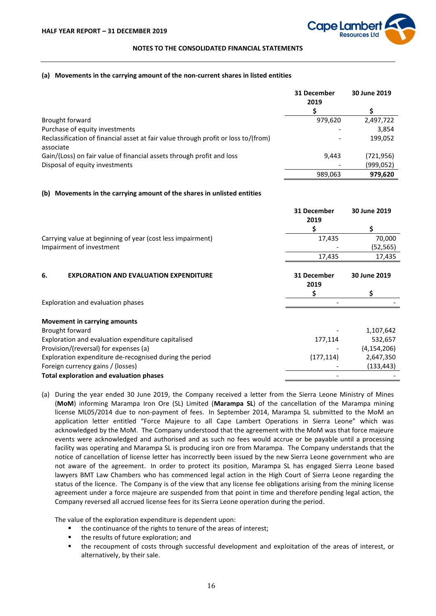

#### **(a) Movements in the carrying amount of the non-current shares in listed entities**

|                                                                                                 | 31 December<br>2019      | 30 June 2019 |
|-------------------------------------------------------------------------------------------------|--------------------------|--------------|
|                                                                                                 |                          |              |
| Brought forward                                                                                 | 979,620                  | 2,497,722    |
| Purchase of equity investments                                                                  |                          | 3,854        |
| Reclassification of financial asset at fair value through profit or loss to/(from)<br>associate | $\overline{\phantom{a}}$ | 199,052      |
| Gain/(Loss) on fair value of financial assets through profit and loss                           | 9.443                    | (721,956)    |
| Disposal of equity investments                                                                  |                          | (999,052)    |
|                                                                                                 | 989,063                  | 979,620      |

#### **(b) Movements in the carrying amount of the shares in unlisted entities**

|                                                            | 31 December<br>2019 | 30 June 2019  |
|------------------------------------------------------------|---------------------|---------------|
|                                                            |                     | \$            |
| Carrying value at beginning of year (cost less impairment) | 17,435              | 70,000        |
| Impairment of investment                                   |                     | (52,565)      |
|                                                            | 17,435              | 17,435        |
| 6.<br><b>EXPLORATION AND EVALUATION EXPENDITURE</b>        | 31 December<br>2019 | 30 June 2019  |
|                                                            |                     |               |
| Exploration and evaluation phases                          |                     |               |
| Movement in carrying amounts                               |                     |               |
| Brought forward                                            |                     | 1,107,642     |
| Exploration and evaluation expenditure capitalised         | 177,114             | 532,657       |
| Provision/(reversal) for expenses (a)                      |                     | (4, 154, 206) |
| Exploration expenditure de-recognised during the period    | (177, 114)          | 2,647,350     |
| Foreign currency gains / (losses)                          |                     | (133, 443)    |
| <b>Total exploration and evaluation phases</b>             |                     |               |

(a) During the year ended 30 June 2019, the Company received a letter from the Sierra Leone Ministry of Mines (**MoM**) informing Marampa Iron Ore (SL) Limited (**Marampa SL**) of the cancellation of the Marampa mining license ML05/2014 due to non-payment of fees. In September 2014, Marampa SL submitted to the MoM an application letter entitled "Force Majeure to all Cape Lambert Operations in Sierra Leone" which was acknowledged by the MoM. The Company understood that the agreement with the MoM was that force majeure events were acknowledged and authorised and as such no fees would accrue or be payable until a processing facility was operating and Marampa SL is producing iron ore from Marampa. The Company understands that the notice of cancellation of license letter has incorrectly been issued by the new Sierra Leone government who are not aware of the agreement. In order to protect its position, Marampa SL has engaged Sierra Leone based lawyers BMT Law Chambers who has commenced legal action in the High Court of Sierra Leone regarding the status of the licence. The Company is of the view that any license fee obligations arising from the mining license agreement under a force majeure are suspended from that point in time and therefore pending legal action, the Company reversed all accrued license fees for its Sierra Leone operation during the period.

The value of the exploration expenditure is dependent upon:

- the continuance of the rights to tenure of the areas of interest;
- the results of future exploration; and
- the recoupment of costs through successful development and exploitation of the areas of interest, or alternatively, by their sale.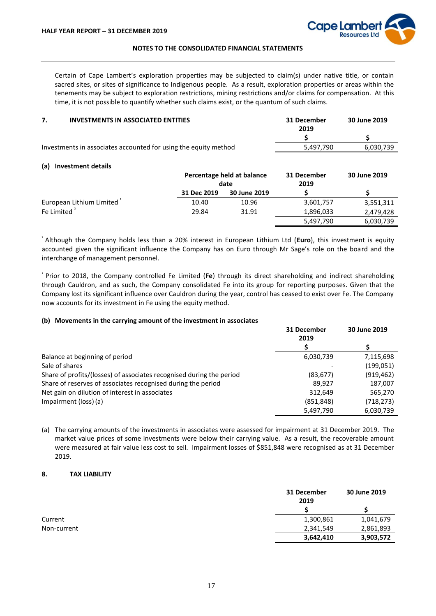

Certain of Cape Lambert's exploration properties may be subjected to claim(s) under native title, or contain sacred sites, or sites of significance to Indigenous people. As a result, exploration properties or areas within the tenements may be subject to exploration restrictions, mining restrictions and/or claims for compensation. At this time, it is not possible to quantify whether such claims exist, or the quantum of such claims.

| <b>INVESTMENTS IN ASSOCIATED ENTITIES</b>                       | 31 December | 30 June 2019 |
|-----------------------------------------------------------------|-------------|--------------|
|                                                                 | 2019        |              |
|                                                                 |             |              |
| Investments in associates accounted for using the equity method | 5.497.790   | 6.030.739    |

#### **(a) Investment details**

|                          | Percentage held at balance<br>date |              | 31 December<br>2019 | 30 June 2019 |  |
|--------------------------|------------------------------------|--------------|---------------------|--------------|--|
|                          | 31 Dec 2019                        | 30 June 2019 |                     |              |  |
| European Lithium Limited | 10.40                              | 10.96        | 3,601,757           | 3,551,311    |  |
| Fe Limited <sup>2</sup>  | 29.84                              | 31.91        | 1,896,033           | 2,479,428    |  |
|                          |                                    |              | 5,497,790           | 6,030,739    |  |

<sup>¹</sup> Although the Company holds less than a 20% interest in European Lithium Ltd (**Euro**), this investment is equity accounted given the significant influence the Company has on Euro through Mr Sage's role on the board and the interchange of management personnel.

<sup>²</sup> Prior to 2018, the Company controlled Fe Limited (**Fe**) through its direct shareholding and indirect shareholding through Cauldron, and as such, the Company consolidated Fe into its group for reporting purposes. Given that the Company lost its significant influence over Cauldron during the year, control has ceased to exist over Fe. The Company now accounts for its investment in Fe using the equity method.

#### **(b) Movements in the carrying amount of the investment in associates**

|                                                                      | 31 December | 30 June 2019 |
|----------------------------------------------------------------------|-------------|--------------|
|                                                                      | 2019        |              |
|                                                                      |             |              |
| Balance at beginning of period                                       | 6,030,739   | 7,115,698    |
| Sale of shares                                                       |             | (199,051)    |
| Share of profits/(losses) of associates recognised during the period | (83, 677)   | (919, 462)   |
| Share of reserves of associates recognised during the period         | 89.927      | 187,007      |
| Net gain on dilution of interest in associates                       | 312.649     | 565,270      |
| Impairment (loss) (a)                                                | (851, 848)  | (718,273)    |
|                                                                      | 5,497,790   | 6,030,739    |

(a) The carrying amounts of the investments in associates were assessed for impairment at 31 December 2019. The market value prices of some investments were below their carrying value. As a result, the recoverable amount were measured at fair value less cost to sell. Impairment losses of \$851,848 were recognised as at 31 December 2019.

#### **8. TAX LIABILITY**

|             | 31 December<br>2019 | 30 June 2019 |  |
|-------------|---------------------|--------------|--|
|             |                     |              |  |
| Current     | 1,300,861           | 1,041,679    |  |
| Non-current | 2,341,549           | 2,861,893    |  |
|             | 3,642,410           | 3,903,572    |  |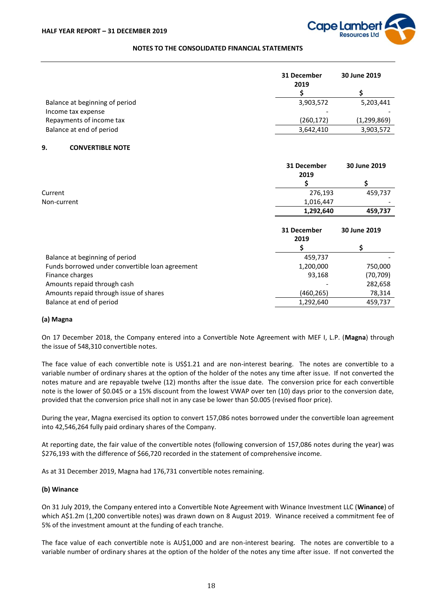

|                                | 31 December<br>2019      | 30 June 2019 |  |
|--------------------------------|--------------------------|--------------|--|
|                                |                          |              |  |
| Balance at beginning of period | 3,903,572                | 5,203,441    |  |
| Income tax expense             | $\overline{\phantom{0}}$ |              |  |
| Repayments of income tax       | (260, 172)               | (1,299,869)  |  |
| Balance at end of period       | 3,642,410                | 3,903,572    |  |

#### **9. CONVERTIBLE NOTE**

|                                                 | 31 December<br>2019 | 30 June 2019 |
|-------------------------------------------------|---------------------|--------------|
|                                                 |                     | \$           |
| Current                                         | 276,193             | 459,737      |
| Non-current                                     | 1,016,447           |              |
|                                                 | 1,292,640           | 459,737      |
|                                                 | 31 December<br>2019 | 30 June 2019 |
|                                                 |                     |              |
| Balance at beginning of period                  | 459,737             |              |
| Funds borrowed under convertible loan agreement | 1,200,000           | 750,000      |
| Finance charges                                 | 93,168              | (70, 709)    |
| Amounts repaid through cash                     |                     | 282,658      |
| Amounts repaid through issue of shares          | (460,265)           | 78,314       |
| Balance at end of period                        | 1,292,640           | 459,737      |

#### **(a) Magna**

On 17 December 2018, the Company entered into a Convertible Note Agreement with MEF I, L.P. (**Magna**) through the issue of 548,310 convertible notes.

The face value of each convertible note is US\$1.21 and are non-interest bearing. The notes are convertible to a variable number of ordinary shares at the option of the holder of the notes any time after issue. If not converted the notes mature and are repayable twelve (12) months after the issue date. The conversion price for each convertible note is the lower of \$0.045 or a 15% discount from the lowest VWAP over ten (10) days prior to the conversion date, provided that the conversion price shall not in any case be lower than \$0.005 (revised floor price).

During the year, Magna exercised its option to convert 157,086 notes borrowed under the convertible loan agreement into 42,546,264 fully paid ordinary shares of the Company.

At reporting date, the fair value of the convertible notes (following conversion of 157,086 notes during the year) was \$276,193 with the difference of \$66,720 recorded in the statement of comprehensive income.

As at 31 December 2019, Magna had 176,731 convertible notes remaining.

#### **(b) Winance**

On 31 July 2019, the Company entered into a Convertible Note Agreement with Winance Investment LLC (**Winance**) of which A\$1.2m (1,200 convertible notes) was drawn down on 8 August 2019. Winance received a commitment fee of 5% of the investment amount at the funding of each tranche.

The face value of each convertible note is AU\$1,000 and are non-interest bearing. The notes are convertible to a variable number of ordinary shares at the option of the holder of the notes any time after issue. If not converted the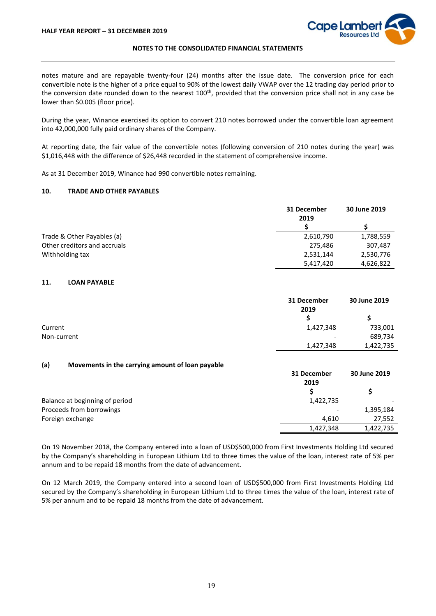

notes mature and are repayable twenty-four (24) months after the issue date. The conversion price for each convertible note is the higher of a price equal to 90% of the lowest daily VWAP over the 12 trading day period prior to the conversion date rounded down to the nearest 100<sup>th</sup>, provided that the conversion price shall not in any case be lower than \$0.005 (floor price).

During the year, Winance exercised its option to convert 210 notes borrowed under the convertible loan agreement into 42,000,000 fully paid ordinary shares of the Company.

At reporting date, the fair value of the convertible notes (following conversion of 210 notes during the year) was \$1,016,448 with the difference of \$26,448 recorded in the statement of comprehensive income.

As at 31 December 2019, Winance had 990 convertible notes remaining.

# **10. TRADE AND OTHER PAYABLES**

|                              | 31 December<br>2019 | 30 June 2019 |
|------------------------------|---------------------|--------------|
|                              |                     |              |
| Trade & Other Payables (a)   | 2,610,790           | 1,788,559    |
| Other creditors and accruals | 275,486             | 307,487      |
| Withholding tax              | 2,531,144           | 2,530,776    |
|                              | 5,417,420           | 4,626,822    |

# **11. LOAN PAYABLE**

|             | 31 December<br>2019 | 30 June 2019 |
|-------------|---------------------|--------------|
|             |                     |              |
| Current     | 1,427,348           | 733,001      |
| Non-current | -                   | 689,734      |
|             | 1,427,348           | 1,422,735    |

#### **(a) Movements in the carrying amount of loan payable**

|                                | 31 December<br>2019 | 30 June 2019 |
|--------------------------------|---------------------|--------------|
|                                |                     |              |
| Balance at beginning of period | 1,422,735           |              |
| Proceeds from borrowings       |                     | 1,395,184    |
| Foreign exchange               | 4.610               | 27,552       |
|                                | 1,427,348           | 1,422,735    |

On 19 November 2018, the Company entered into a loan of USD\$500,000 from First Investments Holding Ltd secured by the Company's shareholding in European Lithium Ltd to three times the value of the loan, interest rate of 5% per annum and to be repaid 18 months from the date of advancement.

On 12 March 2019, the Company entered into a second loan of USD\$500,000 from First Investments Holding Ltd secured by the Company's shareholding in European Lithium Ltd to three times the value of the loan, interest rate of 5% per annum and to be repaid 18 months from the date of advancement.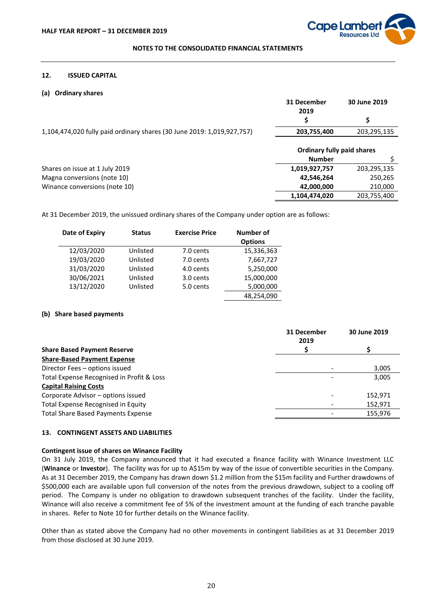

#### **12. ISSUED CAPITAL**

#### **(a) Ordinary shares**

|                                                                        | 31 December                       | 30 June 2019 |
|------------------------------------------------------------------------|-----------------------------------|--------------|
|                                                                        | 2019                              |              |
|                                                                        |                                   | \$           |
| 1,104,474,020 fully paid ordinary shares (30 June 2019: 1,019,927,757) | 203,755,400                       | 203,295,135  |
|                                                                        |                                   |              |
|                                                                        | <b>Ordinary fully paid shares</b> |              |
|                                                                        | <b>Number</b>                     |              |
| Shares on issue at 1 July 2019                                         | 1,019,927,757                     | 203,295,135  |
| Magna conversions (note 10)                                            | 42,546,264                        | 250,265      |
| Winance conversions (note 10)                                          | 42,000,000                        | 210,000      |
|                                                                        | 1,104,474,020                     | 203,755,400  |

At 31 December 2019, the unissued ordinary shares of the Company under option are as follows:

| Date of Expiry | <b>Status</b> | <b>Exercise Price</b> | Number of<br><b>Options</b> |
|----------------|---------------|-----------------------|-----------------------------|
|                |               |                       |                             |
| 12/03/2020     | Unlisted      | 7.0 cents             | 15,336,363                  |
| 19/03/2020     | Unlisted      | 7.0 cents             | 7,667,727                   |
| 31/03/2020     | Unlisted      | 4.0 cents             | 5,250,000                   |
| 30/06/2021     | Unlisted      | 3.0 cents             | 15,000,000                  |
| 13/12/2020     | Unlisted      | 5.0 cents             | 5,000,000                   |
|                |               |                       | 48,254,090                  |

#### **(b) Share based payments**

|                                           | 31 December<br>2019 |         |
|-------------------------------------------|---------------------|---------|
| <b>Share Based Payment Reserve</b>        |                     |         |
| <b>Share-Based Payment Expense</b>        |                     |         |
| Director Fees - options issued            |                     | 3,005   |
| Total Expense Recognised in Profit & Loss |                     | 3,005   |
| <b>Capital Raising Costs</b>              |                     |         |
| Corporate Advisor - options issued        |                     | 152.971 |
| Total Expense Recognised in Equity        |                     | 152.971 |
| <b>Total Share Based Payments Expense</b> |                     | 155,976 |

# **13. CONTINGENT ASSETS AND LIABILITIES**

#### **Contingent issue of shares on Winance Facility**

On 31 July 2019, the Company announced that it had executed a finance facility with Winance Investment LLC (**Winance** or **Investor**). The facility was for up to A\$15m by way of the issue of convertible securities in the Company. As at 31 December 2019, the Company has drawn down \$1.2 million from the \$15m facility and Further drawdowns of \$500,000 each are available upon full conversion of the notes from the previous drawdown, subject to a cooling off period. The Company is under no obligation to drawdown subsequent tranches of the facility. Under the facility, Winance will also receive a commitment fee of 5% of the investment amount at the funding of each tranche payable in shares. Refer to Note 10 for further details on the Winance facility.

Other than as stated above the Company had no other movements in contingent liabilities as at 31 December 2019 from those disclosed at 30 June 2019.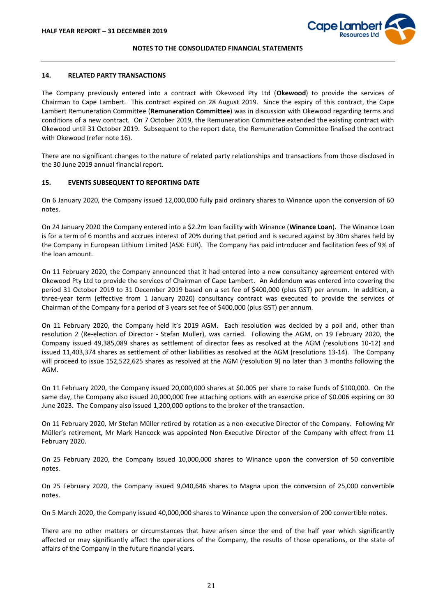

#### **14. RELATED PARTY TRANSACTIONS**

The Company previously entered into a contract with Okewood Pty Ltd (**Okewood**) to provide the services of Chairman to Cape Lambert. This contract expired on 28 August 2019. Since the expiry of this contract, the Cape Lambert Remuneration Committee (**Remuneration Committee**) was in discussion with Okewood regarding terms and conditions of a new contract. On 7 October 2019, the Remuneration Committee extended the existing contract with Okewood until 31 October 2019. Subsequent to the report date, the Remuneration Committee finalised the contract with Okewood (refer note 16).

There are no significant changes to the nature of related party relationships and transactions from those disclosed in the 30 June 2019 annual financial report.

# **15. EVENTS SUBSEQUENT TO REPORTING DATE**

On 6 January 2020, the Company issued 12,000,000 fully paid ordinary shares to Winance upon the conversion of 60 notes.

On 24 January 2020 the Company entered into a \$2.2m loan facility with Winance (**Winance Loan**). The Winance Loan is for a term of 6 months and accrues interest of 20% during that period and is secured against by 30m shares held by the Company in European Lithium Limited (ASX: EUR). The Company has paid introducer and facilitation fees of 9% of the loan amount.

On 11 February 2020, the Company announced that it had entered into a new consultancy agreement entered with Okewood Pty Ltd to provide the services of Chairman of Cape Lambert. An Addendum was entered into covering the period 31 October 2019 to 31 December 2019 based on a set fee of \$400,000 (plus GST) per annum. In addition, a three-year term (effective from 1 January 2020) consultancy contract was executed to provide the services of Chairman of the Company for a period of 3 years set fee of \$400,000 (plus GST) per annum.

On 11 February 2020, the Company held it's 2019 AGM. Each resolution was decided by a poll and, other than resolution 2 (Re-election of Director - Stefan Muller), was carried. Following the AGM, on 19 February 2020, the Company issued 49,385,089 shares as settlement of director fees as resolved at the AGM (resolutions 10-12) and issued 11,403,374 shares as settlement of other liabilities as resolved at the AGM (resolutions 13-14). The Company will proceed to issue 152,522,625 shares as resolved at the AGM (resolution 9) no later than 3 months following the AGM.

On 11 February 2020, the Company issued 20,000,000 shares at \$0.005 per share to raise funds of \$100,000. On the same day, the Company also issued 20,000,000 free attaching options with an exercise price of \$0.006 expiring on 30 June 2023. The Company also issued 1,200,000 options to the broker of the transaction.

On 11 February 2020, Mr Stefan Müller retired by rotation as a non-executive Director of the Company. Following Mr Müller's retirement, Mr Mark Hancock was appointed Non-Executive Director of the Company with effect from 11 February 2020.

On 25 February 2020, the Company issued 10,000,000 shares to Winance upon the conversion of 50 convertible notes.

On 25 February 2020, the Company issued 9,040,646 shares to Magna upon the conversion of 25,000 convertible notes.

On 5 March 2020, the Company issued 40,000,000 shares to Winance upon the conversion of 200 convertible notes.

There are no other matters or circumstances that have arisen since the end of the half year which significantly affected or may significantly affect the operations of the Company, the results of those operations, or the state of affairs of the Company in the future financial years.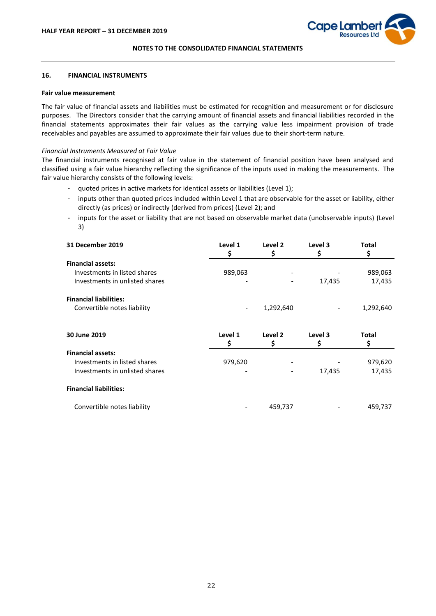

#### **16. FINANCIAL INSTRUMENTS**

### **Fair value measurement**

The fair value of financial assets and liabilities must be estimated for recognition and measurement or for disclosure purposes. The Directors consider that the carrying amount of financial assets and financial liabilities recorded in the financial statements approximates their fair values as the carrying value less impairment provision of trade receivables and payables are assumed to approximate their fair values due to their short-term nature.

#### *Financial Instruments Measured at Fair Value*

The financial instruments recognised at fair value in the statement of financial position have been analysed and classified using a fair value hierarchy reflecting the significance of the inputs used in making the measurements. The fair value hierarchy consists of the following levels:

- quoted prices in active markets for identical assets or liabilities (Level 1);
- inputs other than quoted prices included within Level 1 that are observable for the asset or liability, either directly (as prices) or indirectly (derived from prices) (Level 2); and
- inputs for the asset or liability that are not based on observable market data (unobservable inputs) (Level 3)

| <b>31 December 2019</b>        | Level 1<br>\$            | Level 2<br>\$ | Level 3<br>\$ | Total<br>\$  |
|--------------------------------|--------------------------|---------------|---------------|--------------|
| <b>Financial assets:</b>       |                          |               |               |              |
| Investments in listed shares   | 989,063                  |               |               | 989,063      |
| Investments in unlisted shares |                          |               | 17,435        | 17,435       |
| <b>Financial liabilities:</b>  |                          |               |               |              |
| Convertible notes liability    | $\overline{\phantom{a}}$ | 1,292,640     |               | 1,292,640    |
| 30 June 2019                   | Level 1                  | Level 2       | Level 3       | <b>Total</b> |
|                                | Ş                        | \$            | \$            | \$           |
| <b>Financial assets:</b>       |                          |               |               |              |
| Investments in listed shares   | 979,620                  |               |               | 979,620      |
|                                |                          |               |               |              |
| Investments in unlisted shares |                          |               | 17,435        | 17,435       |
| <b>Financial liabilities:</b>  |                          |               |               |              |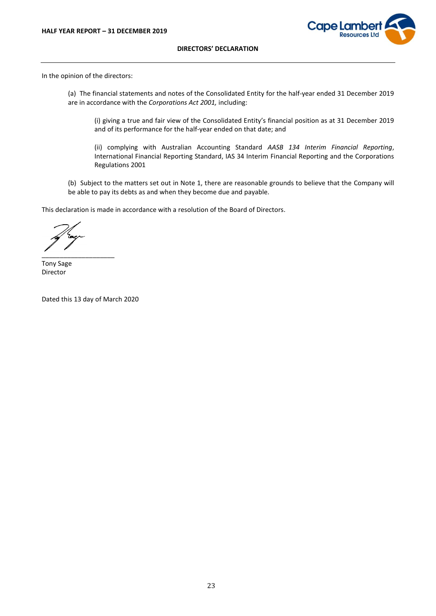

#### **DIRECTORS' DECLARATION**

In the opinion of the directors:

(a) The financial statements and notes of the Consolidated Entity for the half-year ended 31 December 2019 are in accordance with the *Corporations Act 2001,* including:

(i) giving a true and fair view of the Consolidated Entity's financial position as at 31 December 2019 and of its performance for the half-year ended on that date; and

(ii) complying with Australian Accounting Standard *AASB 134 Interim Financial Reporting*, International Financial Reporting Standard, IAS 34 Interim Financial Reporting and the Corporations Regulations 2001

(b) Subject to the matters set out in Note 1, there are reasonable grounds to believe that the Company will be able to pay its debts as and when they become due and payable.

This declaration is made in accordance with a resolution of the Board of Directors.

\_\_\_\_\_\_\_\_\_\_\_\_\_\_\_\_\_\_\_\_

Tony Sage Director

Dated this 13 day of March 2020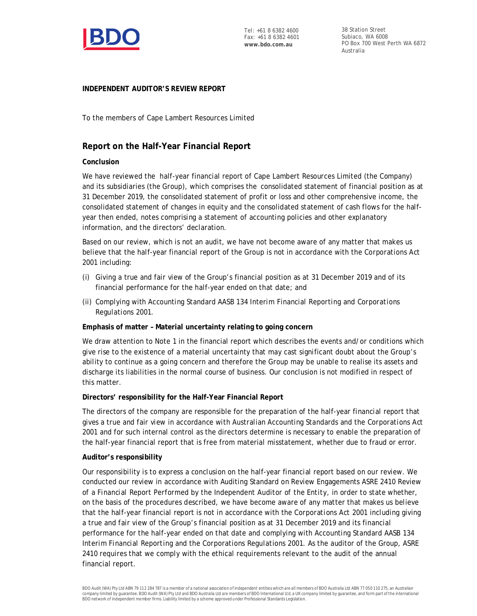

38 Station Street Subiaco, WA 6008 PO Box 700 West Perth WA 6872 Australia

# **INDEPENDENT AUDITOR'S REVIEW REPORT**

To the members of Cape Lambert Resources Limited

# **Report on the Half-Year Financial Report**

# **Conclusion**

We have reviewed the half-year financial report of Cape Lambert Resources Limited (the Company) and its subsidiaries (the Group), which comprises the consolidated statement of financial position as at 31 December 2019, the consolidated statement of profit or loss and other comprehensive income, the consolidated statement of changes in equity and the consolidated statement of cash flows for the halfyear then ended, notes comprising a statement of accounting policies and other explanatory information, and the directors' declaration.

Based on our review, which is not an audit, we have not become aware of any matter that makes us believe that the half-year financial report of the Group is not in accordance with the *Corporations Act 2001* including:

- (i) Giving a true and fair view of the Group's financial position as at 31 December 2019 and of its financial performance for the half-year ended on that date; and
- (ii) Complying with Accounting Standard AASB 134 *Interim Financial Reporting* and *Corporations Regulations 2001.*

**Emphasis of matter – Material uncertainty relating to going concern**

We draw attention to Note 1 in the financial report which describes the events and/or conditions which give rise to the existence of a material uncertainty that may cast significant doubt about the Group's ability to continue as a going concern and therefore the Group may be unable to realise its assets and discharge its liabilities in the normal course of business. Our conclusion is not modified in respect of this matter.

**Directors' responsibility for the Half-Year Financial Report**

The directors of the company are responsible for the preparation of the half-year financial report that gives a true and fair view in accordance with Australian Accounting Standards and the *Corporations Act 2001* and for such internal control as the directors determine is necessary to enable the preparation of the half-year financial report that is free from material misstatement, whether due to fraud or error.

# **Auditor's responsibility**

Our responsibility is to express a conclusion on the half-year financial report based on our review. We conducted our review in accordance with Auditing Standard on Review Engagements ASRE 2410 *Review of a Financial Report Performed by the Independent Auditor of the Entity*, in order to state whether, on the basis of the procedures described, we have become aware of any matter that makes us believe that the half-year financial report is not in accordance with the *Corporations Act 2001* including giving a true and fair view of the Group's financial position as at 31 December 2019 and its financial performance for the half-year ended on that date and complying with Accounting Standard AASB 134 *Interim Financial Reporting* and the *Corporations Regulations 2001*. As the auditor of the Group, ASRE 2410 requires that we comply with the ethical requirements relevant to the audit of the annual financial report.